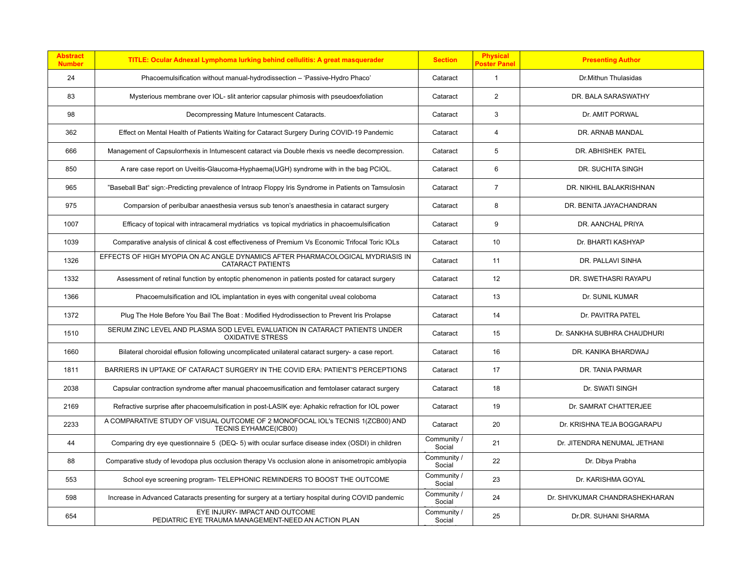| <b>Abstract</b><br><b>Number</b> | TITLE: Ocular Adnexal Lymphoma lurking behind cellulitis: A great masquerader                              | <b>Section</b>        | <b>Physical</b><br><b>Poster Panel</b> | <b>Presenting Author</b>       |
|----------------------------------|------------------------------------------------------------------------------------------------------------|-----------------------|----------------------------------------|--------------------------------|
| 24                               | Phacoemulsification without manual-hydrodissection - 'Passive-Hydro Phaco'                                 | Cataract              | $\mathbf{1}$                           | Dr.Mithun Thulasidas           |
| 83                               | Mysterious membrane over IOL- slit anterior capsular phimosis with pseudoexfoliation                       | Cataract              | 2                                      | DR. BALA SARASWATHY            |
| 98                               | Decompressing Mature Intumescent Cataracts.                                                                | Cataract              | 3                                      | Dr. AMIT PORWAL                |
| 362                              | Effect on Mental Health of Patients Waiting for Cataract Surgery During COVID-19 Pandemic                  | Cataract              | $\overline{4}$                         | DR. ARNAB MANDAL               |
| 666                              | Management of Capsulorrhexis in Intumescent cataract via Double rhexis vs needle decompression.            | Cataract              | 5                                      | DR. ABHISHEK PATEL             |
| 850                              | A rare case report on Uveitis-Glaucoma-Hyphaema(UGH) syndrome with in the bag PCIOL.                       | Cataract              | 6                                      | DR. SUCHITA SINGH              |
| 965                              | "Baseball Bat" sign:-Predicting prevalence of Intraop Floppy Iris Syndrome in Patients on Tamsulosin       | Cataract              | $\overline{7}$                         | DR. NIKHIL BALAKRISHNAN        |
| 975                              | Comparsion of peribulbar anaesthesia versus sub tenon's anaesthesia in cataract surgery                    | Cataract              | 8                                      | DR. BENITA JAYACHANDRAN        |
| 1007                             | Efficacy of topical with intracameral mydriatics vs topical mydriatics in phacoemulsification              | Cataract              | 9                                      | DR. AANCHAL PRIYA              |
| 1039                             | Comparative analysis of clinical & cost effectiveness of Premium Vs Economic Trifocal Toric IOLs           | Cataract              | 10                                     | Dr. BHARTI KASHYAP             |
| 1326                             | EFFECTS OF HIGH MYOPIA ON AC ANGLE DYNAMICS AFTER PHARMACOLOGICAL MYDRIASIS IN<br><b>CATARACT PATIENTS</b> | Cataract              | 11                                     | DR. PALLAVI SINHA              |
| 1332                             | Assessment of retinal function by entoptic phenomenon in patients posted for cataract surgery              | Cataract              | 12                                     | DR. SWETHASRI RAYAPU           |
| 1366                             | Phacoemulsification and IOL implantation in eyes with congenital uveal coloboma                            | Cataract              | 13                                     | Dr. SUNIL KUMAR                |
| 1372                             | Plug The Hole Before You Bail The Boat: Modified Hydrodissection to Prevent Iris Prolapse                  | Cataract              | 14                                     | Dr. PAVITRA PATEL              |
| 1510                             | SERUM ZINC LEVEL AND PLASMA SOD LEVEL EVALUATION IN CATARACT PATIENTS UNDER<br><b>OXIDATIVE STRESS</b>     | Cataract              | 15                                     | Dr. SANKHA SUBHRA CHAUDHURI    |
| 1660                             | Bilateral choroidal effusion following uncomplicated unilateral cataract surgery- a case report.           | Cataract              | 16                                     | DR. KANIKA BHARDWAJ            |
| 1811                             | BARRIERS IN UPTAKE OF CATARACT SURGERY IN THE COVID ERA: PATIENT'S PERCEPTIONS                             | Cataract              | 17                                     | DR. TANIA PARMAR               |
| 2038                             | Capsular contraction syndrome after manual phacoemusification and femtolaser cataract surgery              | Cataract              | 18                                     | Dr. SWATI SINGH                |
| 2169                             | Refractive surprise after phacoemulsification in post-LASIK eye: Aphakic refraction for IOL power          | Cataract              | 19                                     | Dr. SAMRAT CHATTERJEE          |
| 2233                             | A COMPARATIVE STUDY OF VISUAL OUTCOME OF 2 MONOFOCAL IOL'S TECNIS 1(ZCB00) AND<br>TECNIS EYHAMCE(ICB00)    | Cataract              | 20                                     | Dr. KRISHNA TEJA BOGGARAPU     |
| 44                               | Comparing dry eye questionnaire 5 (DEQ-5) with ocular surface disease index (OSDI) in children             | Community /<br>Social | 21                                     | Dr. JITENDRA NENUMAL JETHANI   |
| 88                               | Comparative study of levodopa plus occlusion therapy Vs occlusion alone in anisometropic amblyopia         | Community /<br>Social | 22                                     | Dr. Dibya Prabha               |
| 553                              | School eye screening program- TELEPHONIC REMINDERS TO BOOST THE OUTCOME                                    | Community /<br>Social | 23                                     | Dr. KARISHMA GOYAL             |
| 598                              | Increase in Advanced Cataracts presenting for surgery at a tertiary hospital during COVID pandemic         | Community /<br>Social | 24                                     | Dr. SHIVKUMAR CHANDRASHEKHARAN |
| 654                              | EYE INJURY- IMPACT AND OUTCOME<br>PEDIATRIC EYE TRAUMA MANAGEMENT-NEED AN ACTION PLAN                      | Community /<br>Social | 25                                     | Dr.DR. SUHANI SHARMA           |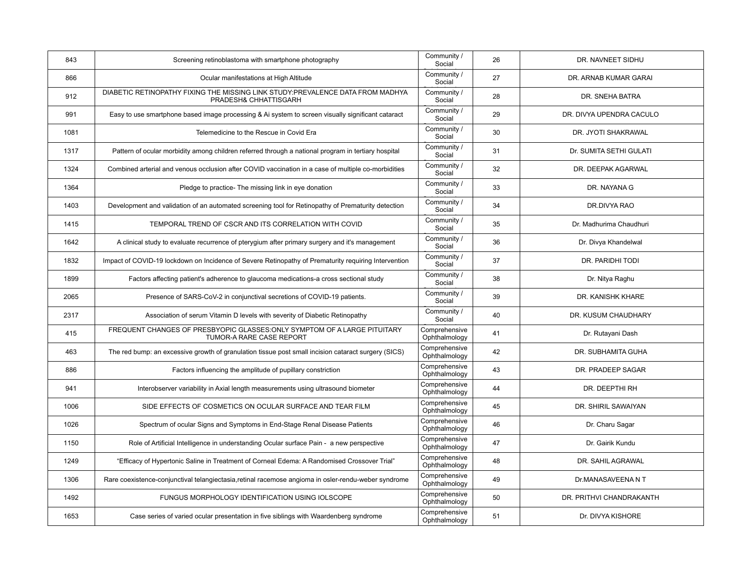| 843  | Screening retinoblastoma with smartphone photography                                                     | Community /<br>Social          | 26 | DR. NAVNEET SIDHU        |
|------|----------------------------------------------------------------------------------------------------------|--------------------------------|----|--------------------------|
| 866  | Ocular manifestations at High Altitude                                                                   | Community /<br>Social          | 27 | DR. ARNAB KUMAR GARAI    |
| 912  | DIABETIC RETINOPATHY FIXING THE MISSING LINK STUDY: PREVALENCE DATA FROM MADHYA<br>PRADESH& CHHATTISGARH | Community /<br>Social          | 28 | DR. SNEHA BATRA          |
| 991  | Easy to use smartphone based image processing & Ai system to screen visually significant cataract        | Community /<br>Social          | 29 | DR. DIVYA UPENDRA CACULO |
| 1081 | Telemedicine to the Rescue in Covid Era                                                                  | Community /<br>Social          | 30 | DR. JYOTI SHAKRAWAL      |
| 1317 | Pattern of ocular morbidity among children referred through a national program in tertiary hospital      | Community /<br>Social          | 31 | Dr. SUMITA SETHI GULATI  |
| 1324 | Combined arterial and venous occlusion after COVID vaccination in a case of multiple co-morbidities      | Community /<br>Social          | 32 | DR. DEEPAK AGARWAL       |
| 1364 | Pledge to practice- The missing link in eye donation                                                     | Community /<br>Social          | 33 | DR. NAYANA G             |
| 1403 | Development and validation of an automated screening tool for Retinopathy of Prematurity detection       | Community /<br>Social          | 34 | DR.DIVYA RAO             |
| 1415 | TEMPORAL TREND OF CSCR AND ITS CORRELATION WITH COVID                                                    | Community /<br>Social          | 35 | Dr. Madhurima Chaudhuri  |
| 1642 | A clinical study to evaluate recurrence of pterygium after primary surgery and it's management           | Community /<br>Social          | 36 | Dr. Divya Khandelwal     |
| 1832 | Impact of COVID-19 lockdown on Incidence of Severe Retinopathy of Prematurity requiring Intervention     | Community /<br>Social          | 37 | DR. PARIDHI TODI         |
| 1899 | Factors affecting patient's adherence to glaucoma medications-a cross sectional study                    | Community /<br>Social          | 38 | Dr. Nitya Raghu          |
| 2065 | Presence of SARS-CoV-2 in conjunctival secretions of COVID-19 patients.                                  | Community /<br>Social          | 39 | DR. KANISHK KHARE        |
| 2317 | Association of serum Vitamin D levels with severity of Diabetic Retinopathy                              | Community /<br>Social          | 40 | DR. KUSUM CHAUDHARY      |
| 415  | FREQUENT CHANGES OF PRESBYOPIC GLASSES: ONLY SYMPTOM OF A LARGE PITUITARY<br>TUMOR-A RARE CASE REPORT    | Comprehensive<br>Ophthalmology | 41 | Dr. Rutayani Dash        |
| 463  | The red bump: an excessive growth of granulation tissue post small incision cataract surgery (SICS)      | Comprehensive<br>Ophthalmology | 42 | DR. SUBHAMITA GUHA       |
| 886  | Factors influencing the amplitude of pupillary constriction                                              | Comprehensive<br>Ophthalmology | 43 | DR. PRADEEP SAGAR        |
| 941  | Interobserver variability in Axial length measurements using ultrasound biometer                         | Comprehensive<br>Ophthalmology | 44 | DR. DEEPTHI RH           |
| 1006 | SIDE EFFECTS OF COSMETICS ON OCULAR SURFACE AND TEAR FILM                                                | Comprehensive<br>Ophthalmology | 45 | DR. SHIRIL SAWAIYAN      |
| 1026 | Spectrum of ocular Signs and Symptoms in End-Stage Renal Disease Patients                                | Comprehensive<br>Ophthalmology | 46 | Dr. Charu Sagar          |
| 1150 | Role of Artificial Intelligence in understanding Ocular surface Pain - a new perspective                 | Comprehensive<br>Ophthalmology | 47 | Dr. Gairik Kundu         |
| 1249 | "Efficacy of Hypertonic Saline in Treatment of Corneal Edema: A Randomised Crossover Trial"              | Comprehensive<br>Ophthalmology | 48 | DR. SAHIL AGRAWAL        |
| 1306 | Rare coexistence-conjunctival telangiectasia, retinal racemose angioma in osler-rendu-weber syndrome     | Comprehensive<br>Ophthalmology | 49 | Dr.MANASAVEENA N T       |
| 1492 | FUNGUS MORPHOLOGY IDENTIFICATION USING IOLSCOPE                                                          | Comprehensive<br>Ophthalmology | 50 | DR. PRITHVI CHANDRAKANTH |
| 1653 | Case series of varied ocular presentation in five siblings with Waardenberg syndrome                     | Comprehensive<br>Ophthalmology | 51 | Dr. DIVYA KISHORE        |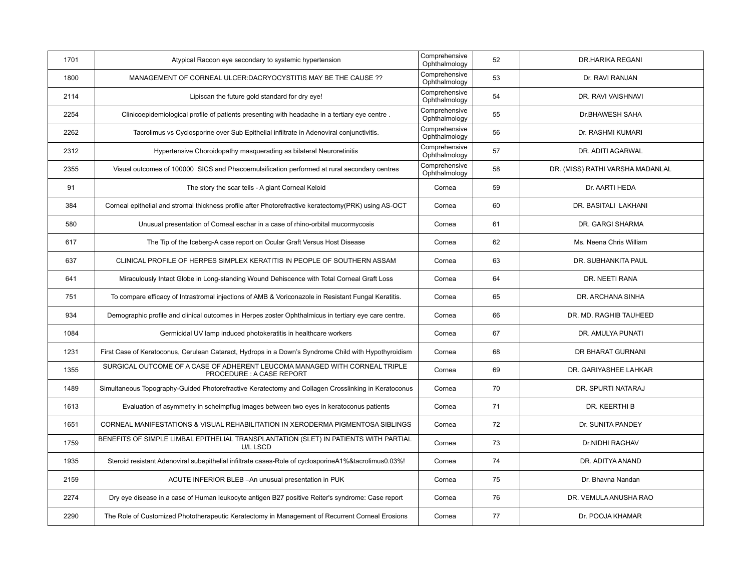| 1701 | Atypical Racoon eye secondary to systemic hypertension                                                  | Comprehensive<br>Ophthalmology | 52 | <b>DR.HARIKA REGANI</b>          |
|------|---------------------------------------------------------------------------------------------------------|--------------------------------|----|----------------------------------|
| 1800 | MANAGEMENT OF CORNEAL ULCER: DACRYOCYSTITIS MAY BE THE CAUSE ??                                         | Comprehensive<br>Ophthalmology | 53 | Dr. RAVI RANJAN                  |
| 2114 | Lipiscan the future gold standard for dry eye!                                                          | Comprehensive<br>Ophthalmology | 54 | DR. RAVI VAISHNAVI               |
| 2254 | Clinicoepidemiological profile of patients presenting with headache in a tertiary eye centre.           | Comprehensive<br>Ophthalmology | 55 | Dr.BHAWESH SAHA                  |
| 2262 | Tacrolimus vs Cyclosporine over Sub Epithelial infiltrate in Adenoviral conjunctivitis.                 | Comprehensive<br>Ophthalmology | 56 | Dr. RASHMI KUMARI                |
| 2312 | Hypertensive Choroidopathy masquerading as bilateral Neuroretinitis                                     | Comprehensive<br>Ophthalmology | 57 | DR. ADITI AGARWAL                |
| 2355 | Visual outcomes of 100000 SICS and Phacoemulsification performed at rural secondary centres             | Comprehensive<br>Ophthalmology | 58 | DR. (MISS) RATHI VARSHA MADANLAL |
| 91   | The story the scar tells - A giant Corneal Keloid                                                       | Cornea                         | 59 | Dr. AARTI HEDA                   |
| 384  | Corneal epithelial and stromal thickness profile after Photorefractive keratectomy(PRK) using AS-OCT    | Cornea                         | 60 | DR. BASITALI LAKHANI             |
| 580  | Unusual presentation of Corneal eschar in a case of rhino-orbital mucormycosis                          | Cornea                         | 61 | DR. GARGI SHARMA                 |
| 617  | The Tip of the Iceberg-A case report on Ocular Graft Versus Host Disease                                | Cornea                         | 62 | Ms. Neena Chris William          |
| 637  | CLINICAL PROFILE OF HERPES SIMPLEX KERATITIS IN PEOPLE OF SOUTHERN ASSAM                                | Cornea                         | 63 | DR. SUBHANKITA PAUL              |
| 641  | Miraculously Intact Globe in Long-standing Wound Dehiscence with Total Corneal Graft Loss               | Cornea                         | 64 | DR. NEETI RANA                   |
| 751  | To compare efficacy of Intrastromal injections of AMB & Voriconazole in Resistant Fungal Keratitis.     | Cornea                         | 65 | DR. ARCHANA SINHA                |
| 934  | Demographic profile and clinical outcomes in Herpes zoster Ophthalmicus in tertiary eye care centre.    | Cornea                         | 66 | DR. MD. RAGHIB TAUHEED           |
| 1084 | Germicidal UV lamp induced photokeratitis in healthcare workers                                         | Cornea                         | 67 | DR. AMULYA PUNATI                |
| 1231 | First Case of Keratoconus, Cerulean Cataract, Hydrops in a Down's Syndrome Child with Hypothyroidism    | Cornea                         | 68 | DR BHARAT GURNANI                |
| 1355 | SURGICAL OUTCOME OF A CASE OF ADHERENT LEUCOMA MANAGED WITH CORNEAL TRIPLE<br>PROCEDURE: A CASE REPORT  | Cornea                         | 69 | DR. GARIYASHEE LAHKAR            |
| 1489 | Simultaneous Topography-Guided Photorefractive Keratectomy and Collagen Crosslinking in Keratoconus     | Cornea                         | 70 | DR. SPURTI NATARAJ               |
| 1613 | Evaluation of asymmetry in scheimpflug images between two eyes in keratoconus patients                  | Cornea                         | 71 | DR. KEERTHI B                    |
| 1651 | CORNEAL MANIFESTATIONS & VISUAL REHABILITATION IN XERODERMA PIGMENTOSA SIBLINGS                         | Cornea                         | 72 | Dr. SUNITA PANDEY                |
| 1759 | BENEFITS OF SIMPLE LIMBAL EPITHELIAL TRANSPLANTATION (SLET) IN PATIENTS WITH PARTIAL<br><b>U/L LSCD</b> | Cornea                         | 73 | Dr.NIDHI RAGHAV                  |
| 1935 | Steroid resistant Adenoviral subepithelial infiltrate cases-Role of cyclosporineA1%&tacrolimus0.03%!    | Cornea                         | 74 | DR. ADITYA ANAND                 |
| 2159 | ACUTE INFERIOR BLEB - An unusual presentation in PUK                                                    | Cornea                         | 75 | Dr. Bhavna Nandan                |
| 2274 | Dry eye disease in a case of Human leukocyte antigen B27 positive Reiter's syndrome: Case report        | Cornea                         | 76 | DR. VEMULA ANUSHA RAO            |
| 2290 | The Role of Customized Phototherapeutic Keratectomy in Management of Recurrent Corneal Erosions         | Cornea                         | 77 | Dr. POOJA KHAMAR                 |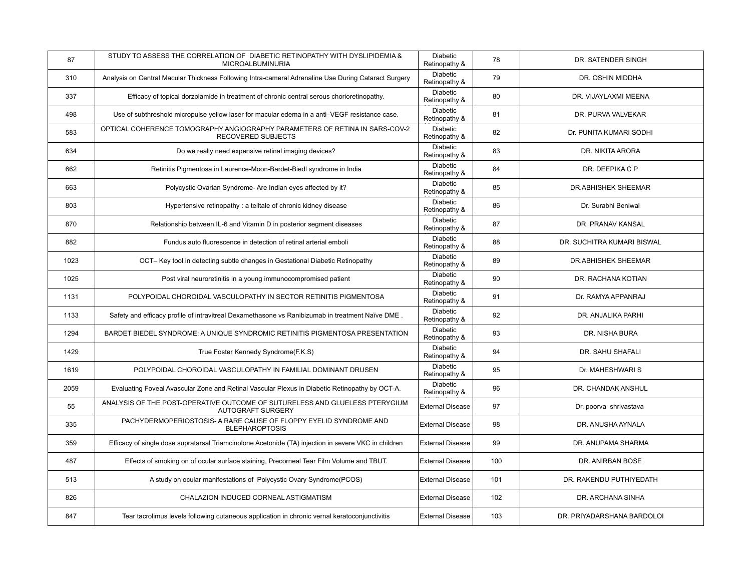| 87   | STUDY TO ASSESS THE CORRELATION OF DIABETIC RETINOPATHY WITH DYSLIPIDEMIA &<br>MICROALBUMINURIA          | Diabetic<br>Retinopathy &        | 78  | DR. SATENDER SINGH         |
|------|----------------------------------------------------------------------------------------------------------|----------------------------------|-----|----------------------------|
| 310  | Analysis on Central Macular Thickness Following Intra-cameral Adrenaline Use During Cataract Surgery     | <b>Diabetic</b><br>Retinopathy & | 79  | DR. OSHIN MIDDHA           |
| 337  | Efficacy of topical dorzolamide in treatment of chronic central serous chorioretinopathy.                | Diabetic<br>Retinopathy &        | 80  | DR. VIJAYLAXMI MEENA       |
| 498  | Use of subthreshold micropulse yellow laser for macular edema in a anti-VEGF resistance case.            | Diabetic<br>Retinopathy &        | 81  | DR. PURVA VALVEKAR         |
| 583  | OPTICAL COHERENCE TOMOGRAPHY ANGIOGRAPHY PARAMETERS OF RETINA IN SARS-COV-2<br><b>RECOVERED SUBJECTS</b> | <b>Diabetic</b><br>Retinopathy & | 82  | Dr. PUNITA KUMARI SODHI    |
| 634  | Do we really need expensive retinal imaging devices?                                                     | Diabetic<br>Retinopathy &        | 83  | DR. NIKITA ARORA           |
| 662  | Retinitis Pigmentosa in Laurence-Moon-Bardet-Biedl syndrome in India                                     | <b>Diabetic</b><br>Retinopathy & | 84  | DR. DEEPIKA C P            |
| 663  | Polycystic Ovarian Syndrome- Are Indian eyes affected by it?                                             | Diabetic<br>Retinopathy &        | 85  | <b>DR.ABHISHEK SHEEMAR</b> |
| 803  | Hypertensive retinopathy : a telltale of chronic kidney disease                                          | Diabetic<br>Retinopathy &        | 86  | Dr. Surabhi Beniwal        |
| 870  | Relationship between IL-6 and Vitamin D in posterior segment diseases                                    | Diabetic<br>Retinopathy &        | 87  | DR. PRANAV KANSAL          |
| 882  | Fundus auto fluorescence in detection of retinal arterial emboli                                         | <b>Diabetic</b><br>Retinopathy & | 88  | DR. SUCHITRA KUMARI BISWAL |
| 1023 | OCT- Key tool in detecting subtle changes in Gestational Diabetic Retinopathy                            | Diabetic<br>Retinopathy &        | 89  | DR.ABHISHEK SHEEMAR        |
| 1025 | Post viral neuroretinitis in a young immunocompromised patient                                           | Diabetic<br>Retinopathy &        | 90  | DR. RACHANA KOTIAN         |
| 1131 | POLYPOIDAL CHOROIDAL VASCULOPATHY IN SECTOR RETINITIS PIGMENTOSA                                         | Diabetic<br>Retinopathy &        | 91  | Dr. RAMYA APPANRAJ         |
| 1133 | Safety and efficacy profile of intravitreal Dexamethasone vs Ranibizumab in treatment Naïve DME.         | Diabetic<br>Retinopathy &        | 92  | DR. ANJALIKA PARHI         |
| 1294 | BARDET BIEDEL SYNDROME: A UNIQUE SYNDROMIC RETINITIS PIGMENTOSA PRESENTATION                             | <b>Diabetic</b><br>Retinopathy & | 93  | DR. NISHA BURA             |
| 1429 | True Foster Kennedy Syndrome(F.K.S)                                                                      | Diabetic<br>Retinopathy &        | 94  | DR. SAHU SHAFALI           |
| 1619 | POLYPOIDAL CHOROIDAL VASCULOPATHY IN FAMILIAL DOMINANT DRUSEN                                            | <b>Diabetic</b><br>Retinopathy & | 95  | Dr. MAHESHWARI S           |
| 2059 | Evaluating Foveal Avascular Zone and Retinal Vascular Plexus in Diabetic Retinopathy by OCT-A.           | Diabetic<br>Retinopathy &        | 96  | DR. CHANDAK ANSHUL         |
| 55   | ANALYSIS OF THE POST-OPERATIVE OUTCOME OF SUTURELESS AND GLUELESS PTERYGIUM<br>AUTOGRAFT SURGERY         | <b>External Disease</b>          | 97  | Dr. poorva shrivastava     |
| 335  | PACHYDERMOPERIOSTOSIS- A RARE CAUSE OF FLOPPY EYELID SYNDROME AND<br><b>BLEPHAROPTOSIS</b>               | <b>External Disease</b>          | 98  | DR. ANUSHA AYNALA          |
| 359  | Efficacy of single dose supratarsal Triamcinolone Acetonide (TA) injection in severe VKC in children     | <b>External Disease</b>          | 99  | DR. ANUPAMA SHARMA         |
| 487  | Effects of smoking on of ocular surface staining, Precorneal Tear Film Volume and TBUT.                  | <b>External Disease</b>          | 100 | DR. ANIRBAN BOSE           |
| 513  | A study on ocular manifestations of Polycystic Ovary Syndrome(PCOS)                                      | <b>External Disease</b>          | 101 | DR. RAKENDU PUTHIYEDATH    |
| 826  | CHALAZION INDUCED CORNEAL ASTIGMATISM                                                                    | <b>External Disease</b>          | 102 | DR. ARCHANA SINHA          |
| 847  | Tear tacrolimus levels following cutaneous application in chronic vernal keratoconjunctivitis            | <b>External Disease</b>          | 103 | DR. PRIYADARSHANA BARDOLOI |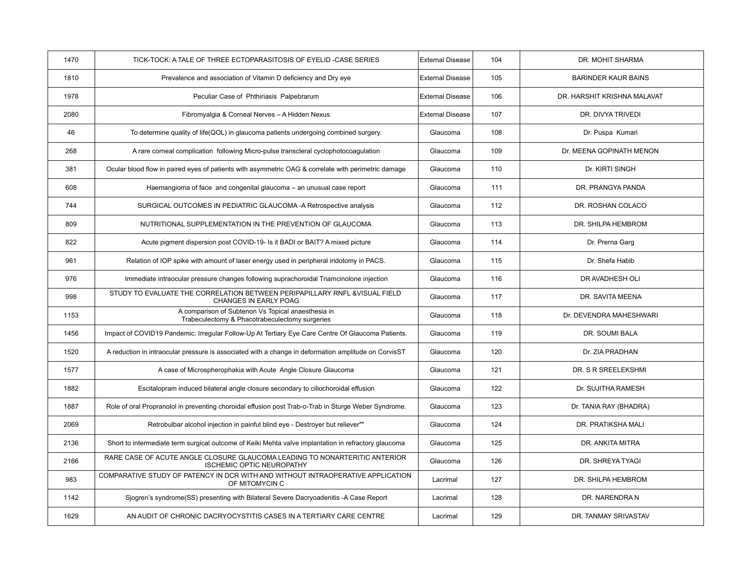| 1470 | TICK-TOCK: A TALE OF THREE ECTOPARASITOSIS OF EYELID -CASE SERIES                                              | <b>External Disease</b> | 104 | DR. MOHIT SHARMA            |
|------|----------------------------------------------------------------------------------------------------------------|-------------------------|-----|-----------------------------|
| 1810 | Prevalence and association of Vitamin D deficiency and Dry eye                                                 | <b>External Disease</b> | 105 | <b>BARINDER KAUR BAINS</b>  |
| 1978 | Peculiar Case of Phthiriasis Palpebrarum                                                                       | <b>External Disease</b> | 106 | DR. HARSHIT KRISHNA MALAVAT |
| 2080 | Fibromyalgia & Corneal Nerves - A Hidden Nexus                                                                 | <b>External Disease</b> | 107 | DR. DIVYA TRIVEDI           |
| 46   | To determine quality of life(QOL) in glaucoma patients undergoing combined surgery.                            | Glaucoma                | 108 | Dr. Puspa Kumari            |
| 268  | A rare corneal complication following Micro-pulse transcleral cyclophotocoagulation                            | Glaucoma                | 109 | Dr. MEENA GOPINATH MENON    |
| 381  | Ocular blood flow in paired eyes of patients with asymmetric OAG & correlate with perimetric damage            | Glaucoma                | 110 | Dr. KIRTI SINGH             |
| 608  | Haemangioma of face and congenital glaucoma - an unusual case report                                           | Glaucoma                | 111 | DR. PRANGYA PANDA           |
| 744  | SURGICAL OUTCOMES IN PEDIATRIC GLAUCOMA -A Retrospective analysis                                              | Glaucoma                | 112 | DR. ROSHAN COLACO           |
| 809  | NUTRITIONAL SUPPLEMENTATION IN THE PREVENTION OF GLAUCOMA                                                      | Glaucoma                | 113 | DR. SHILPA HEMBROM          |
| 822  | Acute pigment dispersion post COVID-19- Is it BADI or BAIT? A mixed picture                                    | Glaucoma                | 114 | Dr. Prerna Garg             |
| 961  | Relation of IOP spike with amount of laser energy used in peripheral iridotomy in PACS.                        | Glaucoma                | 115 | Dr. Shefa Habib             |
| 976  | Immediate intraocular pressure changes following suprachoroidal Triamcinolone injection                        | Glaucoma                | 116 | DR AVADHESH OLI             |
| 998  | STUDY TO EVALUATE THE CORRELATION BETWEEN PERIPAPILLARY RNFL & VISUAL FIELD<br>CHANGES IN EARLY POAG           | Glaucoma                | 117 | DR. SAVITA MEENA            |
| 1153 | A comparison of Subtenon Vs Topical anaesthesia in<br>Trabeculectomy & Phacotrabeculectomy surgeries           | Glaucoma                | 118 | Dr. DEVENDRA MAHESHWARI     |
| 1456 | Impact of COVID19 Pandemic: Irregular Follow-Up At Tertiary Eye Care Centre Of Glaucoma Patients.              | Glaucoma                | 119 | DR. SOUMI BALA              |
| 1520 | A reduction in intraocular pressure is associated with a change in deformation amplitude on CorvisST           | Glaucoma                | 120 | Dr. ZIA PRADHAN             |
| 1577 | A case of Microspherophakia with Acute Angle Closure Glaucoma                                                  | Glaucoma                | 121 | DR. S R SREELEKSHMI         |
| 1882 | Escitalopram induced bilateral angle closure secondary to ciliochoroidal effusion                              | Glaucoma                | 122 | Dr. SUJITHA RAMESH          |
| 1887 | Role of oral Propranolol in preventing choroidal effusion post Trab-o-Trab in Sturge Weber Syndrome.           | Glaucoma                | 123 | Dr. TANIA RAY (BHADRA)      |
| 2069 | Retrobulbar alcohol injection in painful blind eye - Destroyer but reliever""                                  | Glaucoma                | 124 | DR. PRATIKSHA MALI          |
| 2136 | Short to intermediate term surgical outcome of Keiki Mehta valve implantation in refractory glaucoma           | Glaucoma                | 125 | DR. ANKITA MITRA            |
| 2166 | RARE CASE OF ACUTE ANGLE CLOSURE GLAUCOMA LEADING TO NONARTERITIC ANTERIOR<br><b>ISCHEMIC OPTIC NEUROPATHY</b> | Glaucoma                | 126 | DR. SHREYA TYAGI            |
| 983  | COMPARATIVE STUDY OF PATENCY IN DCR WITH AND WITHOUT INTRAOPERATIVE APPLICATION<br>OF MITOMYCIN C              | Lacrimal                | 127 | DR. SHILPA HEMBROM          |
| 1142 | Sjogren's syndrome(SS) presenting with Bilateral Severe Dacryoadenitis -A Case Report                          | Lacrimal                | 128 | DR. NARENDRA N              |
| 1629 | AN AUDIT OF CHRONIC DACRYOCYSTITIS CASES IN A TERTIARY CARE CENTRE                                             | Lacrimal                | 129 | DR. TANMAY SRIVASTAV        |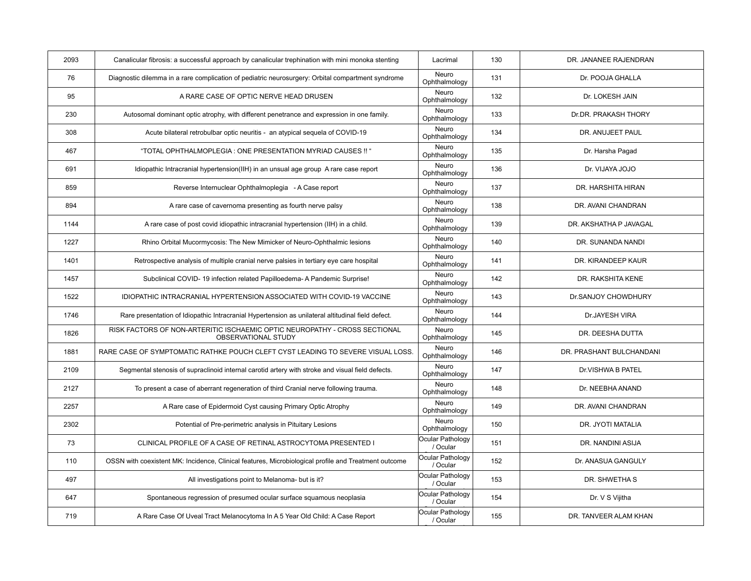| 2093 | Canalicular fibrosis: a successful approach by canalicular trephination with mini monoka stenting    | Lacrimal                     | 130 | DR. JANANEE RAJENDRAN    |
|------|------------------------------------------------------------------------------------------------------|------------------------------|-----|--------------------------|
| 76   | Diagnostic dilemma in a rare complication of pediatric neurosurgery: Orbital compartment syndrome    | Neuro<br>Ophthalmology       | 131 | Dr. POOJA GHALLA         |
| 95   | A RARE CASE OF OPTIC NERVE HEAD DRUSEN                                                               | Neuro<br>Ophthalmology       | 132 | Dr. LOKESH JAIN          |
| 230  | Autosomal dominant optic atrophy, with different penetrance and expression in one family.            | Neuro<br>Ophthalmology       | 133 | Dr.DR. PRAKASH THORY     |
| 308  | Acute bilateral retrobulbar optic neuritis - an atypical sequela of COVID-19                         | Neuro<br>Ophthalmology       | 134 | DR. ANUJEET PAUL         |
| 467  | "TOTAL OPHTHALMOPLEGIA : ONE PRESENTATION MYRIAD CAUSES !! "                                         | Neuro<br>Ophthalmology       | 135 | Dr. Harsha Pagad         |
| 691  | Idiopathic Intracranial hypertension(IIH) in an unsual age group A rare case report                  | Neuro<br>Ophthalmology       | 136 | Dr. VIJAYA JOJO          |
| 859  | Reverse Internuclear Ophthalmoplegia - A Case report                                                 | Neuro<br>Ophthalmology       | 137 | DR. HARSHITA HIRAN       |
| 894  | A rare case of cavernoma presenting as fourth nerve palsy                                            | Neuro<br>Ophthalmology       | 138 | DR. AVANI CHANDRAN       |
| 1144 | A rare case of post covid idiopathic intracranial hypertension (IIH) in a child.                     | Neuro<br>Ophthalmology       | 139 | DR. AKSHATHA P JAVAGAL   |
| 1227 | Rhino Orbital Mucormycosis: The New Mimicker of Neuro-Ophthalmic lesions                             | Neuro<br>Ophthalmology       | 140 | DR. SUNANDA NANDI        |
| 1401 | Retrospective analysis of multiple cranial nerve palsies in tertiary eye care hospital               | Neuro<br>Ophthalmology       | 141 | DR. KIRANDEEP KAUR       |
| 1457 | Subclinical COVID-19 infection related Papilloedema-A Pandemic Surprise!                             | Neuro<br>Ophthalmology       | 142 | DR. RAKSHITA KENE        |
| 1522 | <b>IDIOPATHIC INTRACRANIAL HYPERTENSION ASSOCIATED WITH COVID-19 VACCINE</b>                         | Neuro<br>Ophthalmology       | 143 | Dr.SANJOY CHOWDHURY      |
| 1746 | Rare presentation of Idiopathic Intracranial Hypertension as unilateral altitudinal field defect.    | Neuro<br>Ophthalmology       | 144 | Dr.JAYESH VIRA           |
| 1826 | RISK FACTORS OF NON-ARTERITIC ISCHAEMIC OPTIC NEUROPATHY - CROSS SECTIONAL<br>OBSERVATIONAL STUDY    | Neuro<br>Ophthalmology       | 145 | DR. DEESHA DUTTA         |
| 1881 | RARE CASE OF SYMPTOMATIC RATHKE POUCH CLEFT CYST LEADING TO SEVERE VISUAL LOSS.                      | Neuro<br>Ophthalmology       | 146 | DR. PRASHANT BULCHANDANI |
| 2109 | Segmental stenosis of supraclinoid internal carotid artery with stroke and visual field defects.     | Neuro<br>Ophthalmology       | 147 | Dr.VISHWA B PATEL        |
| 2127 | To present a case of aberrant regeneration of third Cranial nerve following trauma.                  | Neuro<br>Ophthalmology       | 148 | Dr. NEEBHA ANAND         |
| 2257 | A Rare case of Epidermoid Cyst causing Primary Optic Atrophy                                         | Neuro<br>Ophthalmology       | 149 | DR. AVANI CHANDRAN       |
| 2302 | Potential of Pre-perimetric analysis in Pituitary Lesions                                            | Neuro<br>Ophthalmology       | 150 | DR. JYOTI MATALIA        |
| 73   | CLINICAL PROFILE OF A CASE OF RETINAL ASTROCYTOMA PRESENTED I                                        | Ocular Pathology<br>/ Ocular | 151 | DR. NANDINI ASIJA        |
| 110  | OSSN with coexistent MK: Incidence, Clinical features, Microbiological profile and Treatment outcome | Ocular Pathology<br>/ Ocular | 152 | Dr. ANASUA GANGULY       |
| 497  | All investigations point to Melanoma- but is it?                                                     | Ocular Pathology<br>/ Ocular | 153 | DR. SHWETHAS             |
| 647  | Spontaneous regression of presumed ocular surface squamous neoplasia                                 | Ocular Pathology<br>/ Ocular | 154 | Dr. V S Vijitha          |
| 719  | A Rare Case Of Uveal Tract Melanocytoma In A 5 Year Old Child: A Case Report                         | Ocular Pathology<br>/ Ocular | 155 | DR. TANVEER ALAM KHAN    |

Oncology and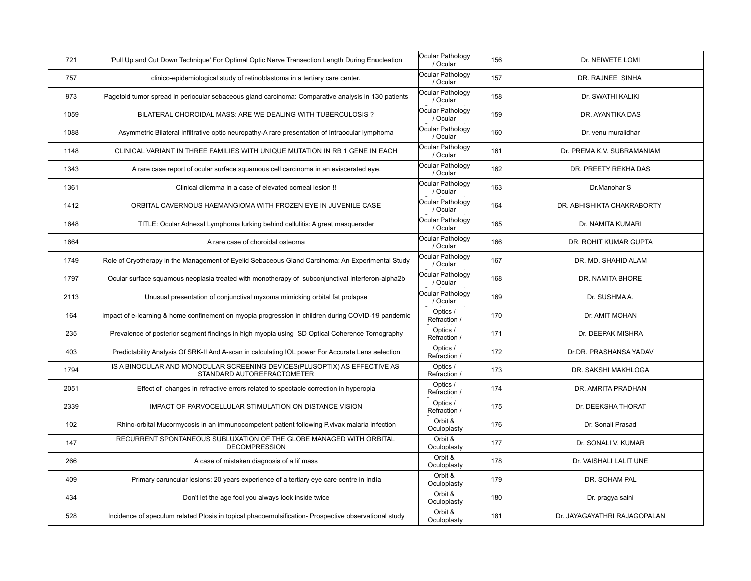| 721  | 'Pull Up and Cut Down Technique' For Optimal Optic Nerve Transection Length During Enucleation           | Ocular Pathology<br>/ Ocular | 156 | Dr. NEIWETE LOMI           |
|------|----------------------------------------------------------------------------------------------------------|------------------------------|-----|----------------------------|
| 757  | clinico-epidemiological study of retinoblastoma in a tertiary care center.                               | Ocular Pathology<br>/ Ocular | 157 | DR. RAJNEE SINHA           |
| 973  | Pagetoid tumor spread in periocular sebaceous gland carcinoma: Comparative analysis in 130 patients      | Ocular Pathology<br>/ Ocular | 158 | Dr. SWATHI KALIKI          |
| 1059 | BILATERAL CHOROIDAL MASS: ARE WE DEALING WITH TUBERCULOSIS ?                                             | Ocular Pathology<br>/ Ocular | 159 | DR. AYANTIKA DAS           |
| 1088 | Asymmetric Bilateral Infiltrative optic neuropathy-A rare presentation of Intraocular lymphoma           | Ocular Pathology<br>/ Ocular | 160 | Dr. venu muralidhar        |
| 1148 | CLINICAL VARIANT IN THREE FAMILIES WITH UNIQUE MUTATION IN RB 1 GENE IN EACH                             | Ocular Pathology<br>/ Ocular | 161 | Dr. PREMA K.V. SUBRAMANIAM |
| 1343 | A rare case report of ocular surface squamous cell carcinoma in an eviscerated eye.                      | Ocular Pathology<br>/ Ocular | 162 | DR. PREETY REKHA DAS       |
| 1361 | Clinical dilemma in a case of elevated corneal lesion !!                                                 | Ocular Pathology<br>/ Ocular | 163 | Dr.Manohar S               |
| 1412 | ORBITAL CAVERNOUS HAEMANGIOMA WITH FROZEN EYE IN JUVENILE CASE                                           | Ocular Pathology<br>/ Ocular | 164 | DR. ABHISHIKTA CHAKRABORTY |
| 1648 | TITLE: Ocular Adnexal Lymphoma lurking behind cellulitis: A great masquerader                            | Ocular Pathology<br>/ Ocular | 165 | Dr. NAMITA KUMARI          |
| 1664 | A rare case of choroidal osteoma                                                                         | Ocular Pathology<br>/ Ocular | 166 | DR. ROHIT KUMAR GUPTA      |
| 1749 | Role of Cryotherapy in the Management of Eyelid Sebaceous Gland Carcinoma: An Experimental Study         | Ocular Pathology<br>/ Ocular | 167 | DR. MD. SHAHID ALAM        |
| 1797 | Ocular surface squamous neoplasia treated with monotherapy of subconjunctival Interferon-alpha2b         | Ocular Pathology<br>/ Ocular | 168 | DR. NAMITA BHORE           |
| 2113 | Unusual presentation of conjunctival myxoma mimicking orbital fat prolapse                               | Ocular Pathology             | 169 | Dr. SUSHMAA.               |
|      |                                                                                                          | / Ocular                     |     |                            |
| 164  | Impact of e-learning & home confinement on myopia progression in children during COVID-19 pandemic       | Optics /<br>Refraction /     | 170 | Dr. AMIT MOHAN             |
| 235  | Prevalence of posterior segment findings in high myopia using SD Optical Coherence Tomography            | Optics /<br>Refraction /     | 171 | Dr. DEEPAK MISHRA          |
| 403  | Predictability Analysis Of SRK-II And A-scan in calculating IOL power For Accurate Lens selection        | Optics /<br>Refraction /     | 172 | Dr.DR. PRASHANSA YADAV     |
| 1794 | IS A BINOCULAR AND MONOCULAR SCREENING DEVICES (PLUSOPTIX) AS EFFECTIVE AS<br>STANDARD AUTOREFRACTOMETER | Optics /<br>Refraction /     | 173 | DR. SAKSHI MAKHLOGA        |
| 2051 | Effect of changes in refractive errors related to spectacle correction in hyperopia                      | Optics /<br>Refraction /     | 174 | DR. AMRITA PRADHAN         |
| 2339 | IMPACT OF PARVOCELLULAR STIMULATION ON DISTANCE VISION                                                   | Optics /<br>Refraction /     | 175 | Dr. DEEKSHA THORAT         |
| 102  | Rhino-orbital Mucormycosis in an immunocompetent patient following P.vivax malaria infection             | Orbit &<br>Oculoplasty       | 176 | Dr. Sonali Prasad          |
| 147  | RECURRENT SPONTANEOUS SUBLUXATION OF THE GLOBE MANAGED WITH ORBITAL<br><b>DECOMPRESSION</b>              | Orbit &<br>Oculoplasty       | 177 | Dr. SONALI V. KUMAR        |
| 266  | A case of mistaken diagnosis of a lif mass                                                               | Orbit &<br>Oculoplasty       | 178 | Dr. VAISHALI LALIT UNE     |
| 409  | Primary caruncular lesions: 20 years experience of a tertiary eye care centre in India                   | Orbit &<br>Oculoplasty       | 179 | DR. SOHAM PAL              |
| 434  | Don't let the age fool you always look inside twice                                                      | Orbit &<br>Oculoplasty       | 180 | Dr. pragya saini           |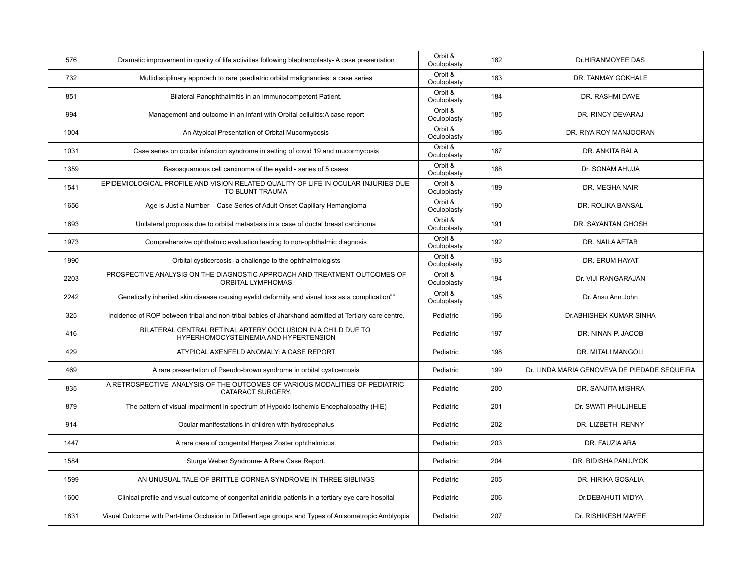| 576  | Dramatic improvement in quality of life activities following blepharoplasty-A case presentation       | Orbit &<br>Oculoplasty | 182 | Dr.HIRANMOYEE DAS                            |
|------|-------------------------------------------------------------------------------------------------------|------------------------|-----|----------------------------------------------|
| 732  | Multidisciplinary approach to rare paediatric orbital malignancies: a case series                     | Orbit &<br>Oculoplasty | 183 | DR. TANMAY GOKHALE                           |
| 851  | Bilateral Panophthalmitis in an Immunocompetent Patient.                                              | Orbit &<br>Oculoplasty | 184 | DR. RASHMI DAVE                              |
| 994  | Management and outcome in an infant with Orbital cellulitis: A case report                            | Orbit &<br>Oculoplasty | 185 | DR. RINCY DEVARAJ                            |
| 1004 | An Atypical Presentation of Orbital Mucormycosis                                                      | Orbit &<br>Oculoplasty | 186 | DR. RIYA ROY MANJOORAN                       |
| 1031 | Case series on ocular infarction syndrome in setting of covid 19 and mucormycosis                     | Orbit &<br>Oculoplasty | 187 | DR. ANKITA BALA                              |
| 1359 | Basosquamous cell carcinoma of the eyelid - series of 5 cases                                         | Orbit &<br>Oculoplasty | 188 | Dr. SONAM AHUJA                              |
| 1541 | EPIDEMIOLOGICAL PROFILE AND VISION RELATED QUALITY OF LIFE IN OCULAR INJURIES DUE<br>TO BLUNT TRAUMA  | Orbit &<br>Oculoplasty | 189 | DR. MEGHA NAIR                               |
| 1656 | Age is Just a Number - Case Series of Adult Onset Capillary Hemangioma                                | Orbit &<br>Oculoplasty | 190 | DR. ROLIKA BANSAL                            |
| 1693 | Unilateral proptosis due to orbital metastasis in a case of ductal breast carcinoma                   | Orbit &<br>Oculoplasty | 191 | DR. SAYANTAN GHOSH                           |
| 1973 | Comprehensive ophthalmic evaluation leading to non-ophthalmic diagnosis                               | Orbit &<br>Oculoplasty | 192 | DR. NAILA AFTAB                              |
| 1990 | Orbital cysticercosis- a challenge to the ophthalmologists                                            | Orbit &<br>Oculoplasty | 193 | DR. ERUM HAYAT                               |
| 2203 | PROSPECTIVE ANALYSIS ON THE DIAGNOSTIC APPROACH AND TREATMENT OUTCOMES OF<br><b>ORBITAL LYMPHOMAS</b> | Orbit &<br>Oculoplasty | 194 | Dr. VIJI RANGARAJAN                          |
| 2242 | Genetically inherited skin disease causing eyelid deformity and visual loss as a complication""       | Orbit &<br>Oculoplasty | 195 | Dr. Ansu Ann John                            |
| 325  | Incidence of ROP between tribal and non-tribal babies of Jharkhand admitted at Tertiary care centre.  | Pediatric              | 196 | Dr.ABHISHEK KUMAR SINHA                      |
| 416  | BILATERAL CENTRAL RETINAL ARTERY OCCLUSION IN A CHILD DUE TO<br>HYPERHOMOCYSTEINEMIA AND HYPERTENSION | Pediatric              | 197 | DR. NINAN P. JACOB                           |
| 429  | ATYPICAL AXENFELD ANOMALY: A CASE REPORT                                                              | Pediatric              | 198 | DR. MITALI MANGOLI                           |
| 469  | A rare presentation of Pseudo-brown syndrome in orbital cysticercosis                                 | Pediatric              | 199 | Dr. LINDA MARIA GENOVEVA DE PIEDADE SEQUEIRA |
| 835  | A RETROSPECTIVE ANALYSIS OF THE OUTCOMES OF VARIOUS MODALITIES OF PEDIATRIC<br>CATARACT SURGERY.      | Pediatric              | 200 | DR. SANJITA MISHRA                           |
| 879  | The pattern of visual impairment in spectrum of Hypoxic Ischemic Encephalopathy (HIE)                 | Pediatric              | 201 | Dr. SWATI PHULJHELE                          |
| 914  | Ocular manifestations in children with hydrocephalus                                                  | Pediatric              | 202 | DR. LIZBETH RENNY                            |
| 1447 | A rare case of congenital Herpes Zoster ophthalmicus.                                                 | Pediatric              | 203 | DR. FAUZIA ARA                               |
| 1584 | Sturge Weber Syndrome- A Rare Case Report.                                                            | Pediatric              | 204 | DR. BIDISHA PANJJYOK                         |
| 1599 | AN UNUSUAL TALE OF BRITTLE CORNEA SYNDROME IN THREE SIBLINGS                                          | Pediatric              | 205 | DR. HIRIKA GOSALIA                           |
| 1600 | Clinical profile and visual outcome of congenital aniridia patients in a tertiary eye care hospital   | Pediatric              | 206 | Dr.DEBAHUTI MIDYA                            |
| 1831 | Visual Outcome with Part-time Occlusion in Different age groups and Types of Anisometropic Amblyopia  | Pediatric              | 207 | Dr. RISHIKESH MAYEE                          |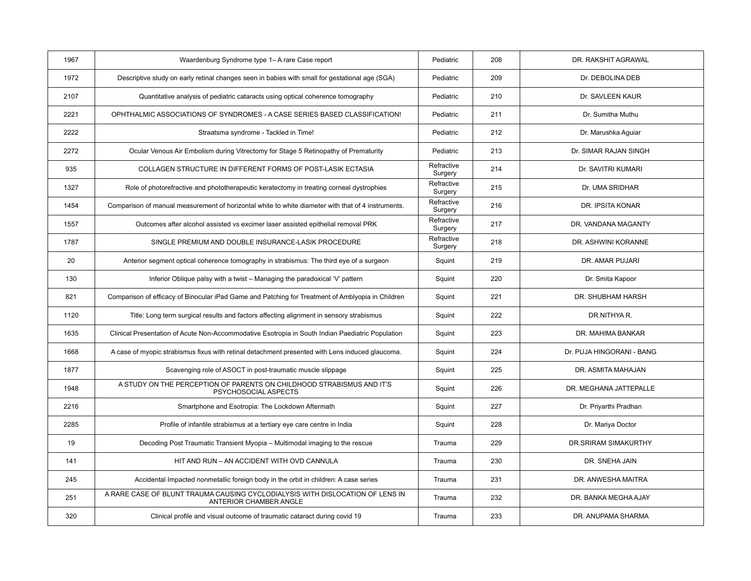| 1967 | Waardenburg Syndrome type 1– A rare Case report                                                         | Pediatric             | 208 | DR. RAKSHIT AGRAWAL       |
|------|---------------------------------------------------------------------------------------------------------|-----------------------|-----|---------------------------|
| 1972 | Descriptive study on early retinal changes seen in babies with small for gestational age (SGA)          | Pediatric             | 209 | Dr. DEBOLINA DEB          |
| 2107 | Quantitative analysis of pediatric cataracts using optical coherence tomography                         | Pediatric             | 210 | Dr. SAVLEEN KAUR          |
| 2221 | OPHTHALMIC ASSOCIATIONS OF SYNDROMES - A CASE SERIES BASED CLASSIFICATION!                              | Pediatric             | 211 | Dr. Sumitha Muthu         |
| 2222 | Straatsma syndrome - Tackled in Time!                                                                   | Pediatric             | 212 | Dr. Marushka Aguiar       |
| 2272 | Ocular Venous Air Embolism during Vitrectomy for Stage 5 Retinopathy of Prematurity                     | Pediatric             | 213 | Dr. SIMAR RAJAN SINGH     |
| 935  | COLLAGEN STRUCTURE IN DIFFERENT FORMS OF POST-LASIK ECTASIA                                             | Refractive<br>Surgery | 214 | Dr. SAVITRI KUMARI        |
| 1327 | Role of photorefractive and phototherapeutic keratectomy in treating corneal dystrophies                | Refractive<br>Surgery | 215 | Dr. UMA SRIDHAR           |
| 1454 | Comparison of manual measurement of horizontal white to white diameter with that of 4 instruments.      | Refractive<br>Surgery | 216 | DR. IPSITA KONAR          |
| 1557 | Outcomes after alcohol assisted vs excimer laser assisted epithelial removal PRK                        | Refractive<br>Surgery | 217 | DR. VANDANA MAGANTY       |
| 1787 | SINGLE PREMIUM AND DOUBLE INSURANCE-LASIK PROCEDURE                                                     | Refractive<br>Surgery | 218 | DR. ASHWINI KORANNE       |
| 20   | Anterior segment optical coherence tomography in strabismus: The third eye of a surgeon                 | Squint                | 219 | DR. AMAR PUJARI           |
| 130  | Inferior Oblique palsy with a twist – Managing the paradoxical 'V' pattern                              | Squint                | 220 | Dr. Smita Kapoor          |
| 821  | Comparison of efficacy of Binocular iPad Game and Patching for Treatment of Amblyopia in Children       | Squint                | 221 | DR. SHUBHAM HARSH         |
| 1120 | Title: Long term surgical results and factors affecting alignment in sensory strabismus                 | Squint                | 222 | DR.NITHYA R.              |
| 1635 | Clinical Presentation of Acute Non-Accommodative Esotropia in South Indian Paediatric Population        | Squint                | 223 | DR. MAHIMA BANKAR         |
| 1668 | A case of myopic strabismus fixus with retinal detachment presented with Lens induced glaucoma.         | Squint                | 224 | Dr. PUJA HINGORANI - BANG |
| 1877 | Scavenging role of ASOCT in post-traumatic muscle slippage                                              | Squint                | 225 | DR. ASMITA MAHAJAN        |
| 1948 | A STUDY ON THE PERCEPTION OF PARENTS ON CHILDHOOD STRABISMUS AND IT'S<br>PSYCHOSOCIAL ASPECTS           | Squint                | 226 | DR. MEGHANA JATTEPALLE    |
| 2216 | Smartphone and Esotropia: The Lockdown Aftermath                                                        | Squint                | 227 | Dr. Priyarthi Pradhan     |
| 2285 | Profile of infantile strabismus at a tertiary eye care centre in India                                  | Squint                | 228 | Dr. Mariya Doctor         |
| 19   | Decoding Post Traumatic Transient Myopia - Multimodal imaging to the rescue                             | Trauma                | 229 | DR.SRIRAM SIMAKURTHY      |
| 141  | HIT AND RUN - AN ACCIDENT WITH OVD CANNULA                                                              | Trauma                | 230 | DR. SNEHA JAIN            |
| 245  | Accidental Impacted nonmetallic foreign body in the orbit in children: A case series                    | Trauma                | 231 | DR. ANWESHA MAITRA        |
| 251  | A RARE CASE OF BLUNT TRAUMA CAUSING CYCLODIALYSIS WITH DISLOCATION OF LENS IN<br>ANTERIOR CHAMBER ANGLE | Trauma                | 232 | DR. BANKA MEGHA AJAY      |
| 320  | Clinical profile and visual outcome of traumatic cataract during covid 19                               | Trauma                | 233 | DR. ANUPAMA SHARMA        |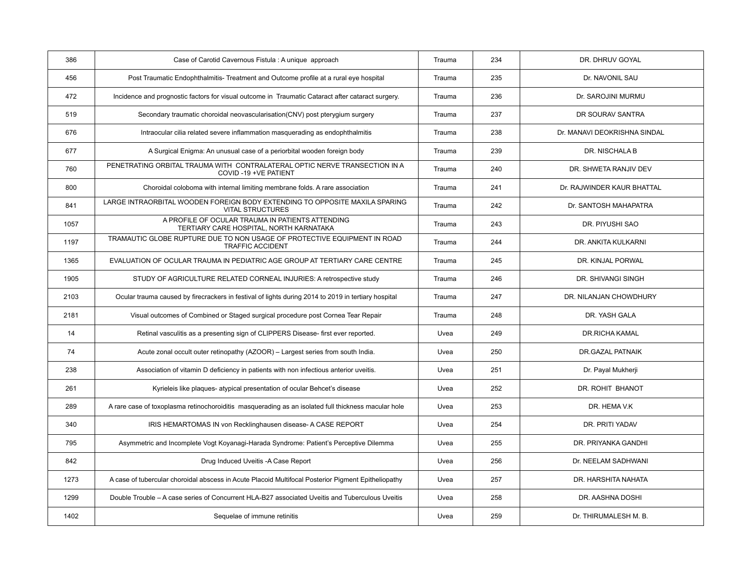| 386  | Case of Carotid Cavernous Fistula : A unique approach                                                  | Trauma | 234 | DR. DHRUV GOYAL              |
|------|--------------------------------------------------------------------------------------------------------|--------|-----|------------------------------|
| 456  | Post Traumatic Endophthalmitis-Treatment and Outcome profile at a rural eye hospital                   | Trauma | 235 | Dr. NAVONIL SAU              |
| 472  | Incidence and prognostic factors for visual outcome in Traumatic Cataract after cataract surgery.      | Trauma | 236 | Dr. SAROJINI MURMU           |
| 519  | Secondary traumatic choroidal neovascularisation (CNV) post pterygium surgery                          | Trauma | 237 | DR SOURAV SANTRA             |
| 676  | Intraocular cilia related severe inflammation masquerading as endophthalmitis                          | Trauma | 238 | Dr. MANAVI DEOKRISHNA SINDAL |
| 677  | A Surgical Enigma: An unusual case of a periorbital wooden foreign body                                | Trauma | 239 | DR. NISCHALA B               |
| 760  | PENETRATING ORBITAL TRAUMA WITH CONTRALATERAL OPTIC NERVE TRANSECTION IN A<br>COVID-19 +VE PATIENT     | Trauma | 240 | DR. SHWETA RANJIV DEV        |
| 800  | Choroidal coloboma with internal limiting membrane folds. A rare association                           | Trauma | 241 | Dr. RAJWINDER KAUR BHATTAL   |
| 841  | LARGE INTRAORBITAL WOODEN FOREIGN BODY EXTENDING TO OPPOSITE MAXILA SPARING<br><b>VITAL STRUCTURES</b> | Trauma | 242 | Dr. SANTOSH MAHAPATRA        |
| 1057 | A PROFILE OF OCULAR TRAUMA IN PATIENTS ATTENDING<br>TERTIARY CARE HOSPITAL, NORTH KARNATAKA            | Trauma | 243 | DR. PIYUSHI SAO              |
| 1197 | TRAMAUTIC GLOBE RUPTURE DUE TO NON USAGE OF PROTECTIVE EQUIPMENT IN ROAD<br><b>TRAFFIC ACCIDENT</b>    | Trauma | 244 | DR. ANKITA KULKARNI          |
| 1365 | EVALUATION OF OCULAR TRAUMA IN PEDIATRIC AGE GROUP AT TERTIARY CARE CENTRE                             | Trauma | 245 | DR. KINJAL PORWAL            |
| 1905 | STUDY OF AGRICULTURE RELATED CORNEAL INJURIES: A retrospective study                                   | Trauma | 246 | DR. SHIVANGI SINGH           |
| 2103 | Ocular trauma caused by firecrackers in festival of lights during 2014 to 2019 in tertiary hospital    | Trauma | 247 | DR. NILANJAN CHOWDHURY       |
| 2181 | Visual outcomes of Combined or Staged surgical procedure post Cornea Tear Repair                       | Trauma | 248 | DR. YASH GALA                |
| 14   | Retinal vasculitis as a presenting sign of CLIPPERS Disease- first ever reported.                      | Uvea   | 249 | <b>DR.RICHA KAMAL</b>        |
| 74   | Acute zonal occult outer retinopathy (AZOOR) - Largest series from south India.                        | Uvea   | 250 | DR.GAZAL PATNAIK             |
| 238  | Association of vitamin D deficiency in patients with non infectious anterior uveitis.                  | Uvea   | 251 | Dr. Payal Mukherji           |
| 261  | Kyrieleis like plaques- atypical presentation of ocular Behcet's disease                               | Uvea   | 252 | DR. ROHIT BHANOT             |
| 289  | A rare case of toxoplasma retinochoroiditis masquerading as an isolated full thickness macular hole    | Uvea   | 253 | DR. HEMA V.K                 |
| 340  | IRIS HEMARTOMAS IN von Recklinghausen disease- A CASE REPORT                                           | Uvea   | 254 | DR. PRITI YADAV              |
| 795  | Asymmetric and Incomplete Vogt Koyanagi-Harada Syndrome: Patient's Perceptive Dilemma                  | Uvea   | 255 | DR. PRIYANKA GANDHI          |
| 842  | Drug Induced Uveitis - A Case Report                                                                   | Uvea   | 256 | Dr. NEELAM SADHWANI          |
| 1273 | A case of tubercular choroidal abscess in Acute Placoid Multifocal Posterior Pigment Epitheliopathy    | Uvea   | 257 | DR. HARSHITA NAHATA          |
| 1299 | Double Trouble - A case series of Concurrent HLA-B27 associated Uveitis and Tuberculous Uveitis        | Uvea   | 258 | DR. AASHNA DOSHI             |
| 1402 | Sequelae of immune retinitis                                                                           | Uvea   | 259 | Dr. THIRUMALESH M. B.        |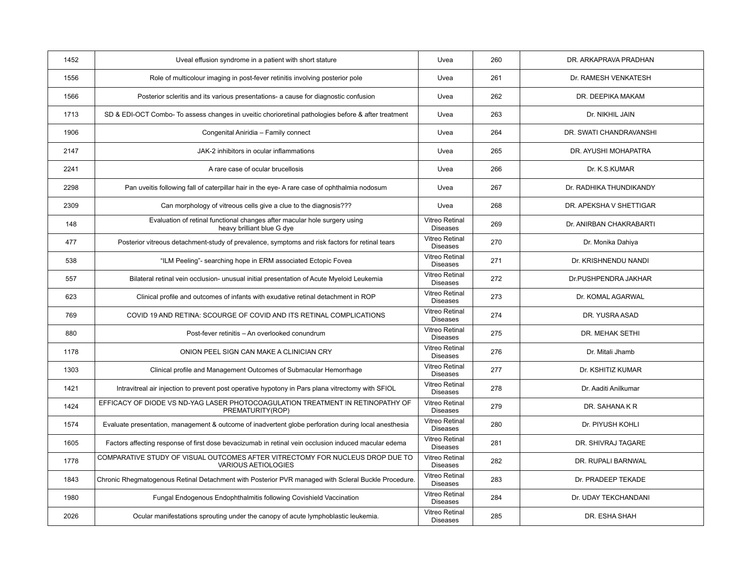| 1452 | Uveal effusion syndrome in a patient with short stature                                                 | Uvea                                     | 260 | DR. ARKAPRAVA PRADHAN   |
|------|---------------------------------------------------------------------------------------------------------|------------------------------------------|-----|-------------------------|
| 1556 | Role of multicolour imaging in post-fever retinitis involving posterior pole                            | Uvea                                     | 261 | Dr. RAMESH VENKATESH    |
| 1566 | Posterior scleritis and its various presentations- a cause for diagnostic confusion                     | Uvea                                     | 262 | DR. DEEPIKA MAKAM       |
| 1713 | SD & EDI-OCT Combo- To assess changes in uveitic chorioretinal pathologies before & after treatment     | Uvea                                     | 263 | Dr. NIKHIL JAIN         |
| 1906 | Congenital Aniridia - Family connect                                                                    | Uvea                                     | 264 | DR. SWATI CHANDRAVANSHI |
| 2147 | JAK-2 inhibitors in ocular inflammations                                                                | Uvea                                     | 265 | DR. AYUSHI MOHAPATRA    |
| 2241 | A rare case of ocular brucellosis                                                                       | Uvea                                     | 266 | Dr. K.S.KUMAR           |
| 2298 | Pan uveitis following fall of caterpillar hair in the eye- A rare case of ophthalmia nodosum            | Uvea                                     | 267 | Dr. RADHIKA THUNDIKANDY |
| 2309 | Can morphology of vitreous cells give a clue to the diagnosis???                                        | Uvea                                     | 268 | DR. APEKSHA V SHETTIGAR |
| 148  | Evaluation of retinal functional changes after macular hole surgery using<br>heavy brilliant blue G dye | Vitreo Retinal<br><b>Diseases</b>        | 269 | Dr. ANIRBAN CHAKRABARTI |
| 477  | Posterior vitreous detachment-study of prevalence, symptoms and risk factors for retinal tears          | Vitreo Retinal<br><b>Diseases</b>        | 270 | Dr. Monika Dahiya       |
| 538  | "ILM Peeling"- searching hope in ERM associated Ectopic Fovea                                           | Vitreo Retinal<br><b>Diseases</b>        | 271 | Dr. KRISHNENDU NANDI    |
| 557  | Bilateral retinal vein occlusion- unusual initial presentation of Acute Myeloid Leukemia                | <b>Vitreo Retinal</b><br><b>Diseases</b> | 272 | Dr.PUSHPENDRA JAKHAR    |
| 623  | Clinical profile and outcomes of infants with exudative retinal detachment in ROP                       | <b>Vitreo Retinal</b><br><b>Diseases</b> | 273 | Dr. KOMAL AGARWAL       |
| 769  | COVID 19 AND RETINA: SCOURGE OF COVID AND ITS RETINAL COMPLICATIONS                                     | <b>Vitreo Retinal</b><br><b>Diseases</b> | 274 | DR. YUSRA ASAD          |
| 880  | Post-fever retinitis - An overlooked conundrum                                                          | Vitreo Retinal<br><b>Diseases</b>        | 275 | DR. MEHAK SETHI         |
| 1178 | ONION PEEL SIGN CAN MAKE A CLINICIAN CRY                                                                | Vitreo Retinal<br><b>Diseases</b>        | 276 | Dr. Mitali Jhamb        |
| 1303 | Clinical profile and Management Outcomes of Submacular Hemorrhage                                       | Vitreo Retinal<br><b>Diseases</b>        | 277 | Dr. KSHITIZ KUMAR       |
| 1421 | Intravitreal air injection to prevent post operative hypotony in Pars plana vitrectomy with SFIOL       | <b>Vitreo Retinal</b><br><b>Diseases</b> | 278 | Dr. Aaditi Anilkumar    |
| 1424 | EFFICACY OF DIODE VS ND-YAG LASER PHOTOCOAGULATION TREATMENT IN RETINOPATHY OF<br>PREMATURITY(ROP)      | Vitreo Retinal<br><b>Diseases</b>        | 279 | DR. SAHANA K R          |
| 1574 | Evaluate presentation, management & outcome of inadvertent globe perforation during local anesthesia    | Vitreo Retinal<br><b>Diseases</b>        | 280 | Dr. PIYUSH KOHLI        |
| 1605 | Factors affecting response of first dose bevacizumab in retinal vein occlusion induced macular edema    | <b>Vitreo Retinal</b><br><b>Diseases</b> | 281 | DR. SHIVRAJ TAGARE      |
| 1778 | COMPARATIVE STUDY OF VISUAL OUTCOMES AFTER VITRECTOMY FOR NUCLEUS DROP DUE TO<br>VARIOUS AETIOLOGIES    | <b>Vitreo Retinal</b><br><b>Diseases</b> | 282 | DR. RUPALI BARNWAL      |
| 1843 | Chronic Rhegmatogenous Retinal Detachment with Posterior PVR managed with Scleral Buckle Procedure.     | <b>Vitreo Retinal</b><br><b>Diseases</b> | 283 | Dr. PRADEEP TEKADE      |
| 1980 | Fungal Endogenous Endophthalmitis following Covishield Vaccination                                      | Vitreo Retinal<br><b>Diseases</b>        | 284 | Dr. UDAY TEKCHANDANI    |
| 2026 | Ocular manifestations sprouting under the canopy of acute lymphoblastic leukemia.                       | Vitreo Retinal<br><b>Diseases</b>        | 285 | DR. ESHA SHAH           |